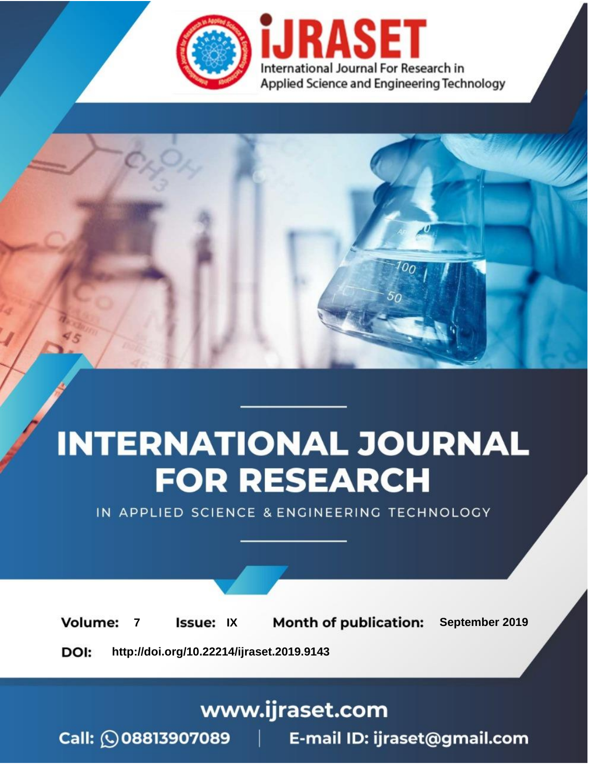



IN APPLIED SCIENCE & ENGINEERING TECHNOLOGY

**7 Issue:** IX **Month of publication:** September 2019 **Volume: http://doi.org/10.22214/ijraset.2019.9143**DOI:

www.ijraset.com

Call: **Q08813907089** E-mail ID: ijraset@gmail.com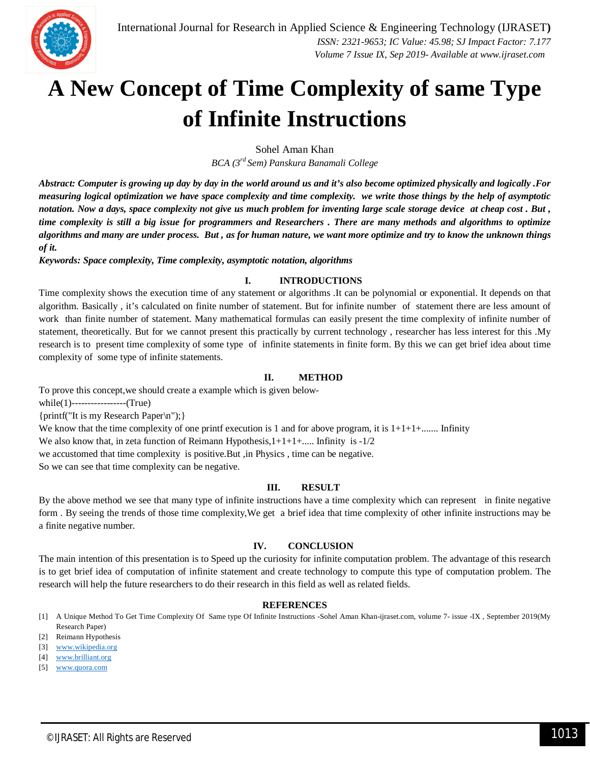# **A New Concept of Time Complexity of same Type of Infinite Instructions**

Sohel Aman Khan

*BCA (3rd Sem) Panskura Banamali College*

*Abstract: Computer is growing up day by day in the world around us and it's also become optimized physically and logically .For measuring logical optimization we have space complexity and time complexity. we write those things by the help of asymptotic notation. Now a days, space complexity not give us much problem for inventing large scale storage device at cheap cost . But , time complexity is still a big issue for programmers and Researchers . There are many methods and algorithms to optimize algorithms and many are under process. But , as for human nature, we want more optimize and try to know the unknown things of it.*

*Keywords: Space complexity, Time complexity, asymptotic notation, algorithms*

## **I. INTRODUCTIONS**

Time complexity shows the execution time of any statement or algorithms .It can be polynomial or exponential. It depends on that algorithm. Basically , it's calculated on finite number of statement. But for infinite number of statement there are less amount of work than finite number of statement. Many mathematical formulas can easily present the time complexity of infinite number of statement, theoretically. But for we cannot present this practically by current technology , researcher has less interest for this .My research is to present time complexity of some type of infinite statements in finite form. By this we can get brief idea about time complexity of some type of infinite statements.

# **II. METHOD**

To prove this concept,we should create a example which is given below-

while(1)-----------------(True)

{printf("It is my Research Paper\n");}

We know that the time complexity of one printf execution is 1 and for above program, it is  $1+1+1+\ldots$ . Infinity

We also know that, in zeta function of Reimann Hypothesis, $1+1+1+...$  Infinity is  $-1/2$ 

we accustomed that time complexity is positive.But ,in Physics , time can be negative.

So we can see that time complexity can be negative.

#### **III. RESULT**

By the above method we see that many type of infinite instructions have a time complexity which can represent in finite negative form . By seeing the trends of those time complexity,We get a brief idea that time complexity of other infinite instructions may be a finite negative number.

## **IV. CONCLUSION**

The main intention of this presentation is to Speed up the curiosity for infinite computation problem. The advantage of this research is to get brief idea of computation of infinite statement and create technology to compute this type of computation problem. The research will help the future researchers to do their research in this field as well as related fields.

#### **REFERENCES**

[1] A Unique Method To Get Time Complexity Of Same type Of Infinite Instructions -Sohel Aman Khan-ijraset.com, volume 7- issue -IX , September 2019(My Research Paper)

- [3] www.wikipedia.org
- [4] www.brilliant.org
- [5] www.quora.com

<sup>[2]</sup> Reimann Hypothesis